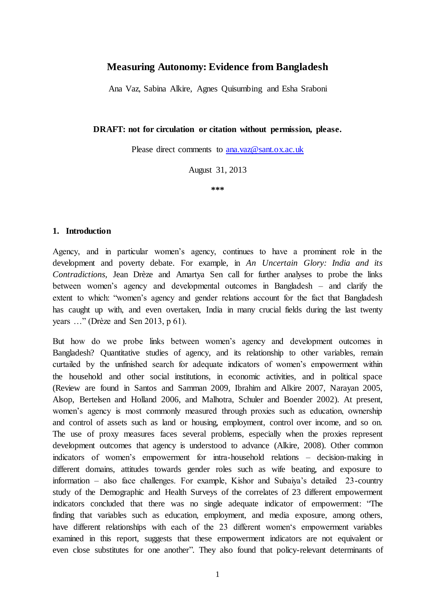# **Measuring Autonomy: Evidence from Bangladesh**

Ana Vaz, Sabina Alkire, Agnes Quisumbing and Esha Sraboni

### **DRAFT: not for circulation or citation without permission, please.**

Please direct comments t[o ana.vaz@sant.ox.ac.uk](mailto:ana.vaz@sant.ox.ac.uk)

August 31, 2013

**\*\*\***

### **1. Introduction**

Agency, and in particular women's agency, continues to have a prominent role in the development and poverty debate. For example, in *An Uncertain Glory: India and its Contradictions,* Jean Drèze and Amartya Sen call for further analyses to probe the links between women's agency and developmental outcomes in Bangladesh – and clarify the extent to which: "women's agency and gender relations account for the fact that Bangladesh has caught up with, and even overtaken, India in many crucial fields during the last twenty years …" (Drèze and Sen 2013, p 61).

But how do we probe links between women's agency and development outcomes in Bangladesh? Quantitative studies of agency, and its relationship to other variables, remain curtailed by the unfinished search for adequate indicators of women's empowerment within the household and other social institutions, in economic activities, and in political space (Review are found in Santos and Samman 2009, Ibrahim and Alkire 2007, Narayan 2005, Alsop, Bertelsen and Holland 2006, and Malhotra, Schuler and Boender 2002). At present, women's agency is most commonly measured through proxies such as education, ownership and control of assets such as land or housing, employment, control over income, and so on. The use of proxy measures faces several problems, especially when the proxies represent development outcomes that agency is understood to advance (Alkire, 2008). Other common indicators of women's empowerment for intra-household relations – decision-making in different domains, attitudes towards gender roles such as wife beating, and exposure to information – also face challenges. For example, Kishor and Subaiya's detailed 23-country study of the Demographic and Health Surveys of the correlates of 23 different empowerment indicators concluded that there was no single adequate indicator of empowerment: "The finding that variables such as education, employment, and media exposure, among others, have different relationships with each of the 23 different women's empowerment variables examined in this report, suggests that these empowerment indicators are not equivalent or even close substitutes for one another". They also found that policy-relevant determinants of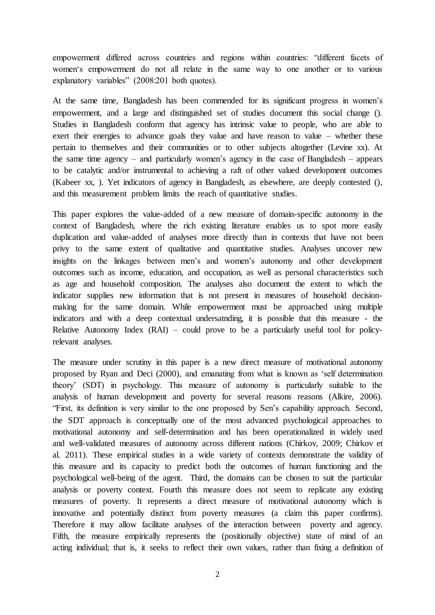empowerment differed across countries and regions within countries: "different facets of women's empowerment do not all relate in the same way to one another or to various explanatory variables" (2008:201 both quotes).

At the same time, Bangladesh has been commended for its significant progress in women's empowerment, and a large and distinguished set of studies document this social change (). Studies in Bangladesh conform that agency has intrinsic value to people, who are able to exert their energies to advance goals they value and have reason to value – whether these pertain to themselves and their communities or to other subjects altogether (Levine xx). At the same time agency – and particularly women's agency in the case of Bangladesh – appears to be catalytic and/or instrumental to achieving a raft of other valued development outcomes (Kabeer xx, ). Yet indicators of agency in Bangladesh, as elsewhere, are deeply contested (), and this measurement problem limits the reach of quantitative studies.

This paper explores the value-added of a new measure of domain-specific autonomy in the context of Bangladesh, where the rich existing literature enables us to spot more easily duplication and value-added of analyses more directly than in contexts that have not been privy to the same extent of qualitative and quantitative studies. Analyses uncover new insights on the linkages between men's and women's autonomy and other development outcomes such as income, education, and occupation, as well as personal characteristics such as age and household composition. The analyses also document the extent to which the indicator supplies new information that is not present in measures of household decisionmaking for the same domain. While empowerment must be approached using multiple indicators and with a deep contextual undersatnding, it is possible that this measure - the Relative Autonomy Index (RAI) – could prove to be a particularly useful tool for policyrelevant analyses.

The measure under scrutiny in this paper is a new direct measure of motivational autonomy proposed by Ryan and Deci (2000), and emanating from what is known as 'self determination theory' (SDT) in psychology. This measure of autonomy is particularly suitable to the analysis of human development and poverty for several reasons reasons (Alkire, 2006). "First, its definition is very similar to the one proposed by Sen's capability approach. Second, the SDT approach is conceptually one of the most advanced psychological approaches to motivational autonomy and self-determination and has been operationalized in widely used and well-validated measures of autonomy across different nations (Chirkov, 2009; Chirkov et al. 2011). These empirical studies in a wide variety of contexts demonstrate the validity of this measure and its capacity to predict both the outcomes of human functioning and the psychological well-being of the agent. Third, the domains can be chosen to suit the particular analysis or poverty context. Fourth this measure does not seem to replicate any existing measures of poverty. It represents a direct measure of motivational autonomy which is innovative and potentially distinct from poverty measures (a claim this paper confirms). Therefore it may allow facilitate analyses of the interaction between poverty and agency. Fifth, the measure empirically represents the (positionally objective) state of mind of an acting individual; that is, it seeks to reflect their own values, rather than fixing a definition of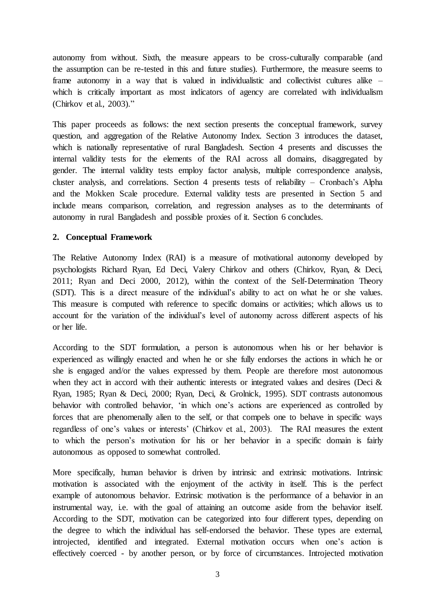autonomy from without. Sixth, the measure appears to be cross-culturally comparable (and the assumption can be re-tested in this and future studies). Furthermore, the measure seems to frame autonomy in a way that is valued in individualistic and collectivist cultures alike – which is critically important as most indicators of agency are correlated with individualism (Chirkov et al., 2003)."

This paper proceeds as follows: the next section presents the conceptual framework, survey question, and aggregation of the Relative Autonomy Index. Section 3 introduces the dataset, which is nationally representative of rural Bangladesh. Section 4 presents and discusses the internal validity tests for the elements of the RAI across all domains, disaggregated by gender. The internal validity tests employ factor analysis, multiple correspondence analysis, cluster analysis, and correlations. Section 4 presents tests of reliability – Cronbach's Alpha and the Mokken Scale procedure. External validity tests are presented in Section 5 and include means comparison, correlation, and regression analyses as to the determinants of autonomy in rural Bangladesh and possible proxies of it. Section 6 concludes.

# **2. Conceptual Framework**

The Relative Autonomy Index (RAI) is a measure of motivational autonomy developed by psychologists Richard Ryan, Ed Deci, Valery Chirkov and others (Chirkov, Ryan, & Deci, 2011; Ryan and Deci 2000, 2012), within the context of the Self-Determination Theory (SDT). This is a direct measure of the individual's ability to act on what he or she values. This measure is computed with reference to specific domains or activities; which allows us to account for the variation of the individual's level of autonomy across different aspects of his or her life.

According to the SDT formulation, a person is autonomous when his or her behavior is experienced as willingly enacted and when he or she fully endorses the actions in which he or she is engaged and/or the values expressed by them. People are therefore most autonomous when they act in accord with their authentic interests or integrated values and desires (Deci  $\&$ Ryan, 1985; Ryan & Deci, 2000; Ryan, Deci, & Grolnick, 1995). SDT contrasts autonomous behavior with controlled behavior, 'in which one's actions are experienced as controlled by forces that are phenomenally alien to the self, or that compels one to behave in specific ways regardless of one's values or interests' (Chirkov et al., 2003). The RAI measures the extent to which the person's motivation for his or her behavior in a specific domain is fairly autonomous as opposed to somewhat controlled.

More specifically, human behavior is driven by intrinsic and extrinsic motivations. Intrinsic motivation is associated with the enjoyment of the activity in itself. This is the perfect example of autonomous behavior. Extrinsic motivation is the performance of a behavior in an instrumental way, i.e. with the goal of attaining an outcome aside from the behavior itself. According to the SDT, motivation can be categorized into four different types, depending on the degree to which the individual has self-endorsed the behavior. These types are external, introjected, identified and integrated. External motivation occurs when one's action is effectively coerced - by another person, or by force of circumstances. Introjected motivation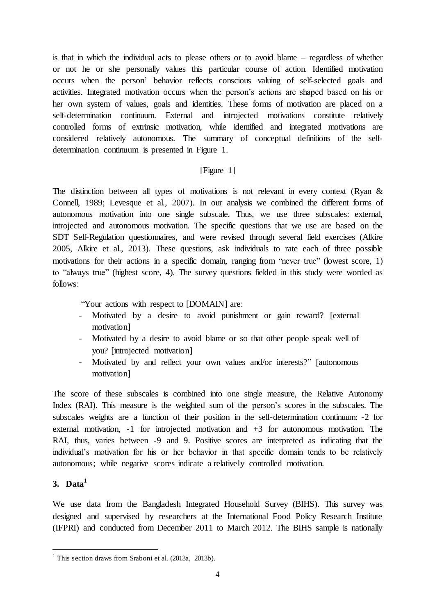is that in which the individual acts to please others or to avoid blame – regardless of whether or not he or she personally values this particular course of action. Identified motivation occurs when the person' behavior reflects conscious valuing of self-selected goals and activities. Integrated motivation occurs when the person's actions are shaped based on his or her own system of values, goals and identities. These forms of motivation are placed on a self-determination continuum. External and introjected motivations constitute relatively controlled forms of extrinsic motivation, while identified and integrated motivations are considered relatively autonomous. The summary of conceptual definitions of the selfdetermination continuum is presented in Figure 1.

# [Figure 1]

The distinction between all types of motivations is not relevant in every context (Ryan & Connell, 1989; Levesque et al., 2007). In our analysis we combined the different forms of autonomous motivation into one single subscale. Thus, we use three subscales: external, introjected and autonomous motivation. The specific questions that we use are based on the SDT Self-Regulation questionnaires, and were revised through several field exercises (Alkire 2005, Alkire et al., 2013). These questions, ask individuals to rate each of three possible motivations for their actions in a specific domain, ranging from "never true" (lowest score, 1) to "always true" (highest score, 4). The survey questions fielded in this study were worded as follows:

"Your actions with respect to [DOMAIN] are:

- Motivated by a desire to avoid punishment or gain reward? [external motivation]
- Motivated by a desire to avoid blame or so that other people speak well of you? [introjected motivation]
- Motivated by and reflect your own values and/or interests?" [autonomous motivation]

The score of these subscales is combined into one single measure, the Relative Autonomy Index (RAI). This measure is the weighted sum of the person's scores in the subscales. The subscales weights are a function of their position in the self-determination continuum: -2 for external motivation, -1 for introjected motivation and +3 for autonomous motivation. The RAI, thus, varies between -9 and 9. Positive scores are interpreted as indicating that the individual's motivation for his or her behavior in that specific domain tends to be relatively autonomous; while negative scores indicate a relatively controlled motivation.

# **3. Data<sup>1</sup>**

We use data from the Bangladesh Integrated Household Survey (BIHS). This survey was designed and supervised by researchers at the International Food Policy Research Institute (IFPRI) and conducted from December 2011 to March 2012. The BIHS sample is nationally

 1 This section draws from Sraboni et al. (2013a, 2013b).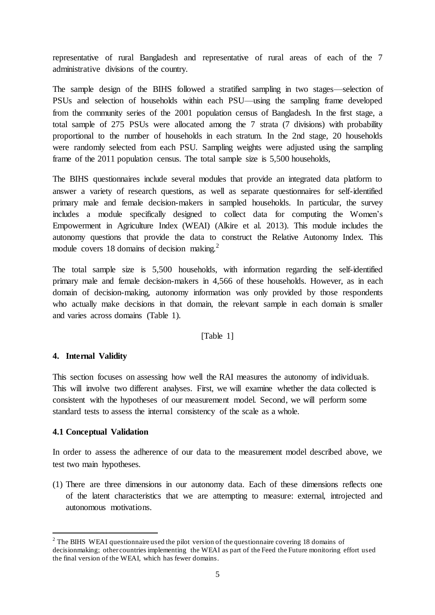representative of rural Bangladesh and representative of rural areas of each of the 7 administrative divisions of the country.

The sample design of the BIHS followed a stratified sampling in two stages—selection of PSUs and selection of households within each PSU—using the sampling frame developed from the community series of the 2001 population census of Bangladesh. In the first stage, a total sample of 275 PSUs were allocated among the 7 strata (7 divisions) with probability proportional to the number of households in each stratum. In the 2nd stage, 20 households were randomly selected from each PSU. Sampling weights were adjusted using the sampling frame of the 2011 population census. The total sample size is 5,500 households,

The BIHS questionnaires include several modules that provide an integrated data platform to answer a variety of research questions, as well as separate questionnaires for self-identified primary male and female decision-makers in sampled households. In particular, the survey includes a module specifically designed to collect data for computing the Women's Empowerment in Agriculture Index (WEAI) (Alkire et al. 2013). This module includes the autonomy questions that provide the data to construct the Relative Autonomy Index. This module covers 18 domains of decision making. $2$ 

The total sample size is 5,500 households, with information regarding the self-identified primary male and female decision-makers in 4,566 of these households. However, as in each domain of decision-making, autonomy information was only provided by those respondents who actually make decisions in that domain, the relevant sample in each domain is smaller and varies across domains (Table 1).

## [Table 1]

## **4. Internal Validity**

This section focuses on assessing how well the RAI measures the autonomy of individuals. This will involve two different analyses. First, we will examine whether the data collected is consistent with the hypotheses of our measurement model. Second, we will perform some standard tests to assess the internal consistency of the scale as a whole.

## **4.1 Conceptual Validation**

 $\overline{a}$ 

In order to assess the adherence of our data to the measurement model described above, we test two main hypotheses.

(1) There are three dimensions in our autonomy data. Each of these dimensions reflects one of the latent characteristics that we are attempting to measure: external, introjected and autonomous motivations.

<sup>&</sup>lt;sup>2</sup> The BIHS WEAI questionnaire used the pilot version of the questionnaire covering 18 domains of decisionmaking; other countries implementing the WEAI as part of the Feed the Future monitoring effort used the final version of the WEAI, which has fewer domains.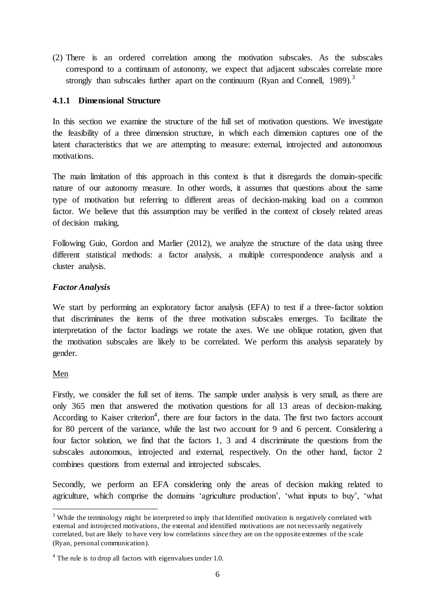(2) There is an ordered correlation among the motivation subscales. As the subscales correspond to a continuum of autonomy, we expect that adjacent subscales correlate more strongly than subscales further apart on the continuum (Ryan and Connell, 1989).<sup>3</sup>

## **4.1.1 Dimensional Structure**

In this section we examine the structure of the full set of motivation questions. We investigate the feasibility of a three dimension structure, in which each dimension captures one of the latent characteristics that we are attempting to measure: external, introjected and autonomous motivations.

The main limitation of this approach in this context is that it disregards the domain-specific nature of our autonomy measure. In other words, it assumes that questions about the same type of motivation but referring to different areas of decision-making load on a common factor. We believe that this assumption may be verified in the context of closely related areas of decision making.

Following Guio, Gordon and Marlier (2012), we analyze the structure of the data using three different statistical methods: a factor analysis, a multiple correspondence analysis and a cluster analysis.

# *Factor Analysis*

We start by performing an exploratory factor analysis (EFA) to test if a three-factor solution that discriminates the items of the three motivation subscales emerges. To facilitate the interpretation of the factor loadings we rotate the axes. We use oblique rotation, given that the motivation subscales are likely to be correlated. We perform this analysis separately by gender.

## Men

 $\overline{a}$ 

Firstly, we consider the full set of items. The sample under analysis is very small, as there are only 365 men that answered the motivation questions for all 13 areas of decision-making. According to Kaiser criterion<sup>4</sup>, there are four factors in the data. The first two factors account for 80 percent of the variance, while the last two account for 9 and 6 percent. Considering a four factor solution, we find that the factors 1, 3 and 4 discriminate the questions from the subscales autonomous, introjected and external, respectively. On the other hand, factor 2 combines questions from external and introjected subscales.

Secondly, we perform an EFA considering only the areas of decision making related to agriculture, which comprise the domains 'agriculture production', 'what inputs to buy', 'what

<sup>&</sup>lt;sup>3</sup> While the terminology might be interpreted to imply that Identified motivation is negatively correlated with external and introjected motivations, the external and identified motivations are not necessarily negatively correlated, but are likely to have very low correlations since they are on the opposite extremes of the scale (Ryan, personal communication).

 $4$  The rule is to drop all factors with eigenvalues under 1.0.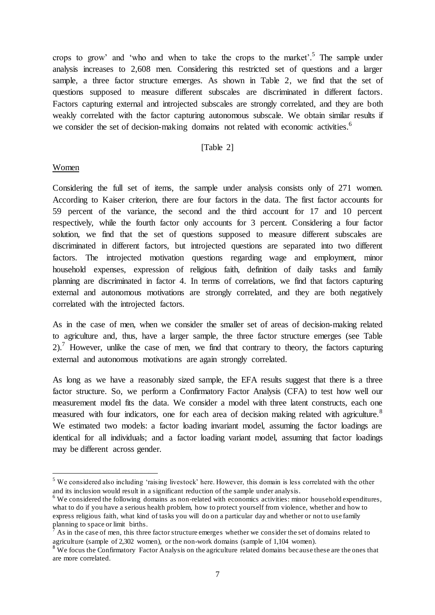crops to grow' and 'who and when to take the crops to the market'. <sup>5</sup> The sample under analysis increases to 2,608 men. Considering this restricted set of questions and a larger sample, a three factor structure emerges. As shown in Table 2, we find that the set of questions supposed to measure different subscales are discriminated in different factors. Factors capturing external and introjected subscales are strongly correlated, and they are both weakly correlated with the factor capturing autonomous subscale. We obtain similar results if we consider the set of decision-making domains not related with economic activities.<sup>6</sup>

### [Table 2]

### Women

 $\overline{a}$ 

Considering the full set of items, the sample under analysis consists only of 271 women. According to Kaiser criterion, there are four factors in the data. The first factor accounts for 59 percent of the variance, the second and the third account for 17 and 10 percent respectively, while the fourth factor only accounts for 3 percent. Considering a four factor solution, we find that the set of questions supposed to measure different subscales are discriminated in different factors, but introjected questions are separated into two different factors. The introjected motivation questions regarding wage and employment, minor household expenses, expression of religious faith, definition of daily tasks and family planning are discriminated in factor 4. In terms of correlations, we find that factors capturing external and autonomous motivations are strongly correlated, and they are both negatively correlated with the introjected factors.

As in the case of men, when we consider the smaller set of areas of decision-making related to agriculture and, thus, have a larger sample, the three factor structure emerges (see Table  $2)$ .<sup>7</sup> However, unlike the case of men, we find that contrary to theory, the factors capturing external and autonomous motivations are again strongly correlated.

As long as we have a reasonably sized sample, the EFA results suggest that there is a three factor structure. So, we perform a Confirmatory Factor Analysis (CFA) to test how well our measurement model fits the data. We consider a model with three latent constructs, each one measured with four indicators, one for each area of decision making related with agriculture.<sup>8</sup> We estimated two models: a factor loading invariant model, assuming the factor loadings are identical for all individuals; and a factor loading variant model, assuming that factor loadings may be different across gender.

<sup>5</sup> We considered also including 'raising livestock' here. However, this domain is less correlated with the other and its inclusion would result in a significant reduction of the sample under analysis.

 $6$  We considered the following domains as non-related with economics activities: minor household expenditures, what to do if you have a serious health problem, how to protect yourself from violence, whether and how to express religious faith, what kind of tasks you will do on a particular day and whether or not to use family planning to space or limit births.

<sup>7</sup> As in the case of men, this three factor structure emerges whether we consider the set of domains related to agriculture (sample of 2,302 women), or the non-work domains (sample of 1,104 women).

 $8<sup>8</sup>$  We focus the Confirmatory Factor Analysis on the agriculture related domains because these are the ones that are more correlated.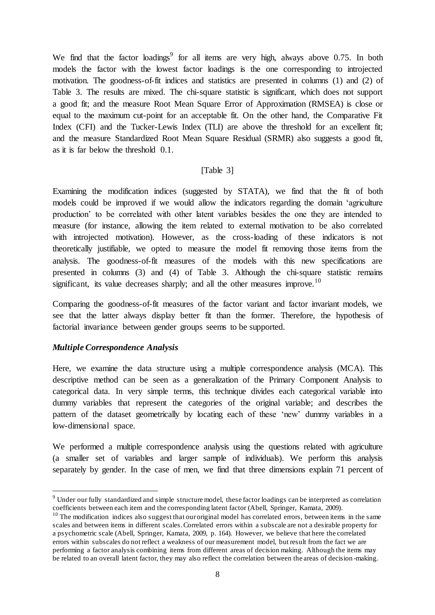We find that the factor loadings<sup>9</sup> for all items are very high, always above 0.75. In both models the factor with the lowest factor loadings is the one corresponding to introjected motivation. The goodness-of-fit indices and statistics are presented in columns (1) and (2) of Table 3. The results are mixed. The chi-square statistic is significant, which does not support a good fit; and the measure Root Mean Square Error of Approximation (RMSEA) is close or equal to the maximum cut-point for an acceptable fit. On the other hand, the Comparative Fit Index (CFI) and the Tucker-Lewis Index (TLI) are above the threshold for an excellent fit; and the measure Standardized Root Mean Square Residual (SRMR) also suggests a good fit, as it is far below the threshold 0.1.

### [Table 3]

Examining the modification indices (suggested by STATA), we find that the fit of both models could be improved if we would allow the indicators regarding the domain 'agriculture production' to be correlated with other latent variables besides the one they are intended to measure (for instance, allowing the item related to external motivation to be also correlated with introjected motivation). However, as the cross-loading of these indicators is not theoretically justifiable, we opted to measure the model fit removing those items from the analysis. The goodness-of-fit measures of the models with this new specifications are presented in columns (3) and (4) of Table 3. Although the chi-square statistic remains significant, its value decreases sharply; and all the other measures improve.<sup>10</sup>

Comparing the goodness-of-fit measures of the factor variant and factor invariant models, we see that the latter always display better fit than the former. Therefore, the hypothesis of factorial invariance between gender groups seems to be supported.

## *Multiple Correspondence Analysis*

 $\overline{a}$ 

Here, we examine the data structure using a multiple correspondence analysis (MCA). This descriptive method can be seen as a generalization of the Primary Component Analysis to categorical data. In very simple terms, this technique divides each categorical variable into dummy variables that represent the categories of the original variable; and describes the pattern of the dataset geometrically by locating each of these 'new' dummy variables in a low-dimensional space.

We performed a multiple correspondence analysis using the questions related with agriculture (a smaller set of variables and larger sample of individuals). We perform this analysis separately by gender. In the case of men, we find that three dimensions explain 71 percent of

<sup>&</sup>lt;sup>9</sup> Under our fully standardized and simple structure model, these factor loadings can be interpreted as correlation coefficients between each item and the corresponding latent factor (Abell, Springer, Kamata, 2009).

 $10$  The modification indices also suggest that our original model has correlated errors, between items in the same scales and between items in different scales. Correlated errors within a subscale are not a desirable property for a psychometric scale (Abell, Springer, Kamata, 2009, p. 164). However, we believe that here the correlated errors within subscales do not reflect a weakness of our measurement model, but result from the fact we are performing a factor analysis combining items from different areas of decision making. Although the items may be related to an overall latent factor, they may also reflect the correlation between the areas of decision -making.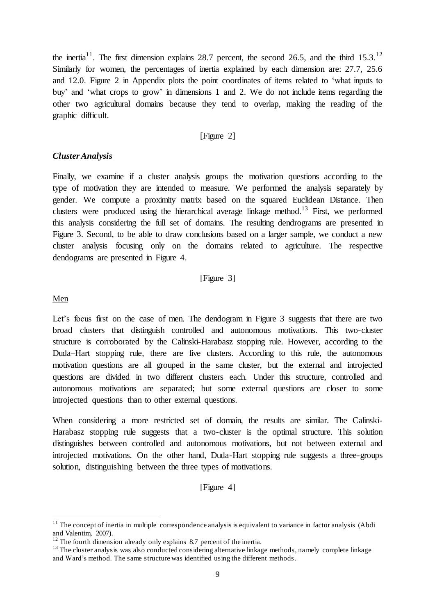the inertia<sup>11</sup>. The first dimension explains 28.7 percent, the second 26.5, and the third 15.3.<sup>12</sup> Similarly for women, the percentages of inertia explained by each dimension are: 27.7, 25.6 and 12.0. Figure 2 in Appendix plots the point coordinates of items related to 'what inputs to buy' and 'what crops to grow' in dimensions 1 and 2. We do not include items regarding the other two agricultural domains because they tend to overlap, making the reading of the graphic difficult.

### [Figure 2]

### *Cluster Analysis*

Finally, we examine if a cluster analysis groups the motivation questions according to the type of motivation they are intended to measure. We performed the analysis separately by gender. We compute a proximity matrix based on the squared Euclidean Distance. Then clusters were produced using the hierarchical average linkage method.<sup>13</sup> First, we performed this analysis considering the full set of domains. The resulting dendrograms are presented in Figure 3. Second, to be able to draw conclusions based on a larger sample, we conduct a new cluster analysis focusing only on the domains related to agriculture. The respective dendograms are presented in Figure 4.

### [Figure 3]

#### Men

 $\overline{a}$ 

Let's focus first on the case of men. The dendogram in Figure 3 suggests that there are two broad clusters that distinguish controlled and autonomous motivations. This two-cluster structure is corroborated by the Calinski-Harabasz stopping rule. However, according to the Duda–Hart stopping rule, there are five clusters. According to this rule, the autonomous motivation questions are all grouped in the same cluster, but the external and introjected questions are divided in two different clusters each. Under this structure, controlled and autonomous motivations are separated; but some external questions are closer to some introjected questions than to other external questions.

When considering a more restricted set of domain, the results are similar. The Calinski-Harabasz stopping rule suggests that a two-cluster is the optimal structure. This solution distinguishes between controlled and autonomous motivations, but not between external and introjected motivations. On the other hand, Duda-Hart stopping rule suggests a three-groups solution, distinguishing between the three types of motivations.

[Figure 4]

 $11$  The concept of inertia in multiple correspondence analysis is equivalent to variance in factor analysis (Abdi and Valentim, 2007).

 $12$  The fourth dimension already only explains 8.7 percent of the inertia.

<sup>&</sup>lt;sup>13</sup> The cluster analysis was also conducted considering alternative linkage methods, namely complete linkage and Ward's method. The same structure was identified using the different methods.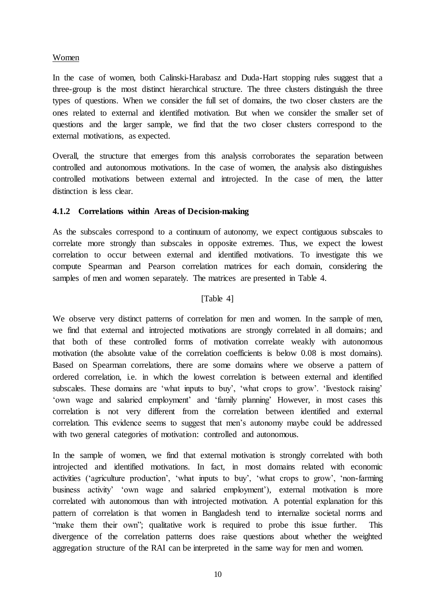## Women

In the case of women, both Calinski-Harabasz and Duda-Hart stopping rules suggest that a three-group is the most distinct hierarchical structure. The three clusters distinguish the three types of questions. When we consider the full set of domains, the two closer clusters are the ones related to external and identified motivation. But when we consider the smaller set of questions and the larger sample, we find that the two closer clusters correspond to the external motivations, as expected.

Overall, the structure that emerges from this analysis corroborates the separation between controlled and autonomous motivations. In the case of women, the analysis also distinguishes controlled motivations between external and introjected. In the case of men, the latter distinction is less clear.

# **4.1.2 Correlations within Areas of Decision-making**

As the subscales correspond to a continuum of autonomy, we expect contiguous subscales to correlate more strongly than subscales in opposite extremes. Thus, we expect the lowest correlation to occur between external and identified motivations. To investigate this we compute Spearman and Pearson correlation matrices for each domain, considering the samples of men and women separately. The matrices are presented in Table 4.

# [Table 4]

We observe very distinct patterns of correlation for men and women. In the sample of men, we find that external and introjected motivations are strongly correlated in all domains; and that both of these controlled forms of motivation correlate weakly with autonomous motivation (the absolute value of the correlation coefficients is below 0.08 is most domains). Based on Spearman correlations, there are some domains where we observe a pattern of ordered correlation, i.e. in which the lowest correlation is between external and identified subscales. These domains are 'what inputs to buy', 'what crops to grow'. 'livestock raising' 'own wage and salaried employment' and 'family planning' However, in most cases this correlation is not very different from the correlation between identified and external correlation. This evidence seems to suggest that men's autonomy maybe could be addressed with two general categories of motivation: controlled and autonomous.

In the sample of women, we find that external motivation is strongly correlated with both introjected and identified motivations. In fact, in most domains related with economic activities ('agriculture production', 'what inputs to buy', 'what crops to grow', 'non-farming business activity' 'own wage and salaried employment'), external motivation is more correlated with autonomous than with introjected motivation. A potential explanation for this pattern of correlation is that women in Bangladesh tend to internalize societal norms and "make them their own"; qualitative work is required to probe this issue further. This divergence of the correlation patterns does raise questions about whether the weighted aggregation structure of the RAI can be interpreted in the same way for men and women.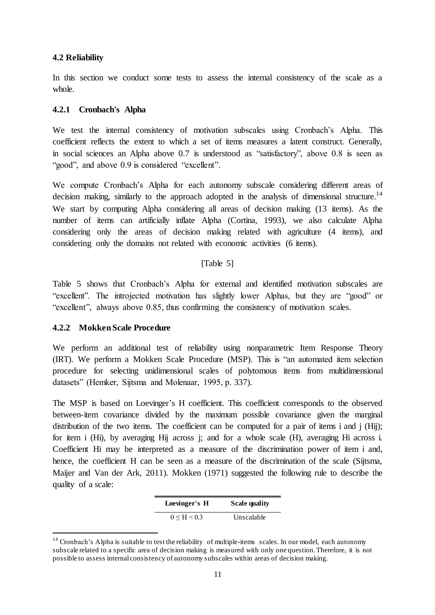## **4.2 Reliability**

In this section we conduct some tests to assess the internal consistency of the scale as a whole.

### **4.2.1 Cronbach's Alpha**

We test the internal consistency of motivation subscales using Cronbach's Alpha. This coefficient reflects the extent to which a set of items measures a latent construct. Generally, in social sciences an Alpha above 0.7 is understood as "satisfactory", above 0.8 is seen as "good", and above 0.9 is considered "excellent".

We compute Cronbach's Alpha for each autonomy subscale considering different areas of decision making, similarly to the approach adopted in the analysis of dimensional structure.<sup>14</sup> We start by computing Alpha considering all areas of decision making (13 items). As the number of items can artificially inflate Alpha (Cortina, 1993), we also calculate Alpha considering only the areas of decision making related with agriculture (4 items), and considering only the domains not related with economic activities (6 items).

### [Table 5]

Table 5 shows that Cronbach's Alpha for external and identified motivation subscales are "excellent". The introjected motivation has slightly lower Alphas, but they are "good" or "excellent", always above 0.85, thus confirming the consistency of motivation scales.

## **4.2.2 Mokken Scale Procedure**

 $\overline{a}$ 

We perform an additional test of reliability using nonparametric Item Response Theory (IRT). We perform a Mokken Scale Procedure (MSP). This is "an automated item selection procedure for selecting unidimensional scales of polytomous items from multidimensional datasets" (Hemker, Sijtsma and Molenaar, 1995, p. 337).

The MSP is based on Loevinger's H coefficient. This coefficient corresponds to the observed between-item covariance divided by the maximum possible covariance given the marginal distribution of the two items. The coefficient can be computed for a pair of items i and j (Hij); for item i (Hi), by averaging Hij across j; and for a whole scale (H), averaging Hi across i. Coefficient Hi may be interpreted as a measure of the discrimination power of item i and, hence, the coefficient H can be seen as a measure of the discrimination of the scale (Sijtsma, Maijer and Van der Ark, 2011). Mokken (1971) suggested the following rule to describe the quality of a scale:

| Loevinger's H       | <b>Scale quality</b> |
|---------------------|----------------------|
| $0 \leq H \leq 0.3$ | Unscalable           |

<sup>&</sup>lt;sup>14</sup> Cronbach's Alpha is suitable to test the reliability of multiple-items scales. In our model, each autonomy subscale related to a specific area of decision making is measured with only one question. Therefore, it is not possible to assess internal consistency of autonomy subscales within areas of decision making.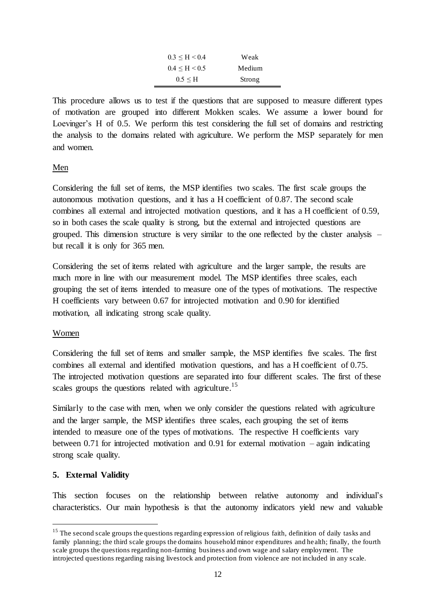| $0.3 \leq H \leq 0.4$ | Weak   |
|-----------------------|--------|
| $0.4 \leq H \leq 0.5$ | Medium |
| $0.5 \leq H$          | Strong |

This procedure allows us to test if the questions that are supposed to measure different types of motivation are grouped into different Mokken scales. We assume a lower bound for Loevinger's H of 0.5. We perform this test considering the full set of domains and restricting the analysis to the domains related with agriculture. We perform the MSP separately for men and women.

# Men

Considering the full set of items, the MSP identifies two scales. The first scale groups the autonomous motivation questions, and it has a H coefficient of 0.87. The second scale combines all external and introjected motivation questions, and it has a H coefficient of 0.59, so in both cases the scale quality is strong, but the external and introjected questions are grouped. This dimension structure is very similar to the one reflected by the cluster analysis – but recall it is only for 365 men.

Considering the set of items related with agriculture and the larger sample, the results are much more in line with our measurement model. The MSP identifies three scales, each grouping the set of items intended to measure one of the types of motivations. The respective H coefficients vary between 0.67 for introjected motivation and 0.90 for identified motivation, all indicating strong scale quality.

## Women

Considering the full set of items and smaller sample, the MSP identifies five scales. The first combines all external and identified motivation questions, and has a H coefficient of 0.75. The introjected motivation questions are separated into four different scales. The first of these scales groups the questions related with agriculture.<sup>15</sup>

Similarly to the case with men, when we only consider the questions related with agriculture and the larger sample, the MSP identifies three scales, each grouping the set of items intended to measure one of the types of motivations. The respective H coefficients vary between 0.71 for introjected motivation and 0.91 for external motivation – again indicating strong scale quality.

# **5. External Validity**

 $\overline{a}$ 

This section focuses on the relationship between relative autonomy and individual's characteristics. Our main hypothesis is that the autonomy indicators yield new and valuable

<sup>&</sup>lt;sup>15</sup> The second scale groups the questions regarding expression of religious faith, definition of daily tasks and family planning; the third scale groups the domains household minor expenditures and he alth; finally, the fourth scale groups the questions regarding non-farming business and own wage and salary employment. The introjected questions regarding raising livestock and protection from violence are not included in any scale.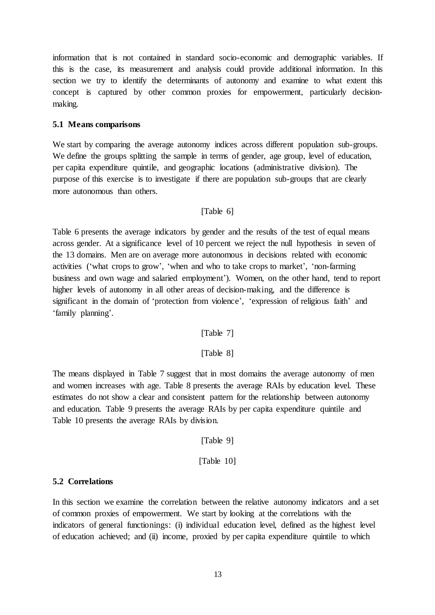information that is not contained in standard socio-economic and demographic variables. If this is the case, its measurement and analysis could provide additional information. In this section we try to identify the determinants of autonomy and examine to what extent this concept is captured by other common proxies for empowerment, particularly decisionmaking.

## **5.1 Means comparisons**

We start by comparing the average autonomy indices across different population sub-groups. We define the groups splitting the sample in terms of gender, age group, level of education, per capita expenditure quintile, and geographic locations (administrative division). The purpose of this exercise is to investigate if there are population sub-groups that are clearly more autonomous than others.

## [Table 6]

Table 6 presents the average indicators by gender and the results of the test of equal means across gender. At a significance level of 10 percent we reject the null hypothesis in seven of the 13 domains. Men are on average more autonomous in decisions related with economic activities ('what crops to grow', 'when and who to take crops to market', 'non-farming business and own wage and salaried employment'). Women, on the other hand, tend to report higher levels of autonomy in all other areas of decision-making, and the difference is significant in the domain of 'protection from violence', 'expression of religious faith' and 'family planning'.

## [Table 7]

# [Table 8]

The means displayed in Table 7 suggest that in most domains the average autonomy of men and women increases with age. Table 8 presents the average RAIs by education level. These estimates do not show a clear and consistent pattern for the relationship between autonomy and education. Table 9 presents the average RAIs by per capita expenditure quintile and Table 10 presents the average RAIs by division.

## [Table 9]

[Table 10]

## **5.2 Correlations**

In this section we examine the correlation between the relative autonomy indicators and a set of common proxies of empowerment. We start by looking at the correlations with the indicators of general functionings: (i) individual education level, defined as the highest level of education achieved; and (ii) income, proxied by per capita expenditure quintile to which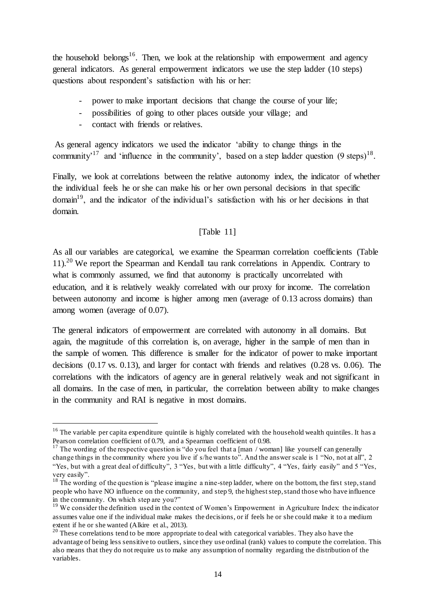the household belongs<sup>16</sup>. Then, we look at the relationship with empowerment and agency general indicators. As general empowerment indicators we use the step ladder (10 steps) questions about respondent's satisfaction with his or her:

- power to make important decisions that change the course of your life;
- possibilities of going to other places outside your village; and
- contact with friends or relatives.

 $\overline{a}$ 

As general agency indicators we used the indicator 'ability to change things in the community<sup>'17</sup> and 'influence in the community', based on a step ladder question  $(9 \text{ steps})^{18}$ .

Finally, we look at correlations between the relative autonomy index, the indicator of whether the individual feels he or she can make his or her own personal decisions in that specific domain<sup>19</sup>, and the indicator of the individual's satisfaction with his or her decisions in that domain.

### [Table 11]

As all our variables are categorical, we examine the Spearman correlation coefficients (Table  $11$ .<sup>20</sup> We report the Spearman and Kendall tau rank correlations in Appendix. Contrary to what is commonly assumed, we find that autonomy is practically uncorrelated with education, and it is relatively weakly correlated with our proxy for income. The correlation between autonomy and income is higher among men (average of 0.13 across domains) than among women (average of 0.07).

The general indicators of empowerment are correlated with autonomy in all domains. But again, the magnitude of this correlation is, on average, higher in the sample of men than in the sample of women. This difference is smaller for the indicator of power to make important decisions (0.17 vs. 0.13), and larger for contact with friends and relatives (0.28 vs. 0.06). The correlations with the indicators of agency are in general relatively weak and not significant in all domains. In the case of men, in particular, the correlation between ability to make changes in the community and RAI is negative in most domains.

<sup>&</sup>lt;sup>16</sup> The variable per capita expenditure quintile is highly correlated with the household wealth quintiles. It has a Pearson correlation coefficient of 0.79, and a Spearman coefficient of 0.98.

<sup>&</sup>lt;sup>17</sup> The wording of the respective question is "do you feel that a [man / woman] like yourself can generally change things in the community where you live if s/he wants to". And the answer scale is 1 "No, not at all", 2 "Yes, but with a great deal of difficulty", 3 "Yes, but with a little difficulty", 4 "Yes, fairly easily" and 5 "Yes, very easily".

<sup>&</sup>lt;sup>18</sup> The wording of the question is "please imagine a nine-step ladder, where on the bottom, the first step, stand people who have NO influence on the community, and step 9, the highest step, stand those who have influence in the community. On which step are you?"

<sup>&</sup>lt;sup>19</sup> We consider the definition used in the context of Women's Empowerment in Agriculture Index: the indicator assumes value one if the individual make makes the decisions, or if feels he or she could make it to a medium extent if he or she wanted (Alkire et al., 2013).

<sup>&</sup>lt;sup>20</sup> These correlations tend to be more appropriate to deal with categorical variables. They also have the advantage of being less sensitive to outliers, since they use ordinal (rank) values to compute the correlation. This also means that they do not require us to make any assumption of normality regarding the distribution of the variables.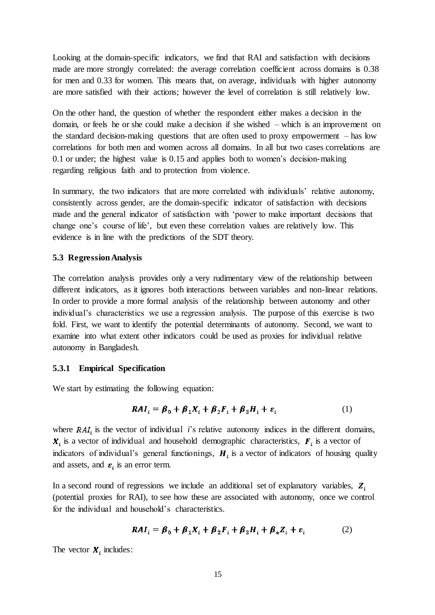Looking at the domain-specific indicators, we find that RAI and satisfaction with decisions made are more strongly correlated: the average correlation coefficient across domains is 0.38 for men and 0.33 for women. This means that, on average, individuals with higher autonomy are more satisfied with their actions; however the level of correlation is still relatively low.

On the other hand, the question of whether the respondent either makes a decision in the domain, or feels he or she could make a decision if she wished – which is an improvement on the standard decision-making questions that are often used to proxy empowerment – has low correlations for both men and women across all domains. In all but two cases correlations are 0.1 or under; the highest value is 0.15 and applies both to women's decision-making regarding religious faith and to protection from violence.

In summary, the two indicators that are more correlated with individuals' relative autonomy, consistently across gender, are the domain-specific indicator of satisfaction with decisions made and the general indicator of satisfaction with 'power to make important decisions that change one's course of life', but even these correlation values are relatively low. This evidence is in line with the predictions of the SDT theory.

## **5.3 Regression Analysis**

The correlation analysis provides only a very rudimentary view of the relationship between different indicators, as it ignores both interactions between variables and non-linear relations. In order to provide a more formal analysis of the relationship between autonomy and other individual's characteristics we use a regression analysis. The purpose of this exercise is two fold. First, we want to identify the potential determinants of autonomy. Second, we want to examine into what extent other indicators could be used as proxies for individual relative autonomy in Bangladesh.

## **5.3.1 Empirical Specification**

We start by estimating the following equation:

$$
RAI_i = \beta_0 + \beta_1 X_i + \beta_2 F_i + \beta_3 H_i + \varepsilon_i
$$
 (1)

where  $RAI_i$  is the vector of individual *i*'s relative autonomy indices in the different domains,  $\boldsymbol{X}_i$  is a vector of individual and household demographic characteristics,  $\boldsymbol{F}_i$  is a vector of indicators of individual's general functionings,  $H_i$  is a vector of indicators of housing quality and assets, and  $\varepsilon_i$  is an error term.

In a second round of regressions we include an additional set of explanatory variables,  $Z_i$ (potential proxies for RAI), to see how these are associated with autonomy, once we control for the individual and household's characteristics.

$$
RAI_i = \beta_0 + \beta_1 X_i + \beta_2 F_i + \beta_3 H_i + \beta_4 Z_i + \varepsilon_i
$$
 (2)

The vector  $X_i$  includes: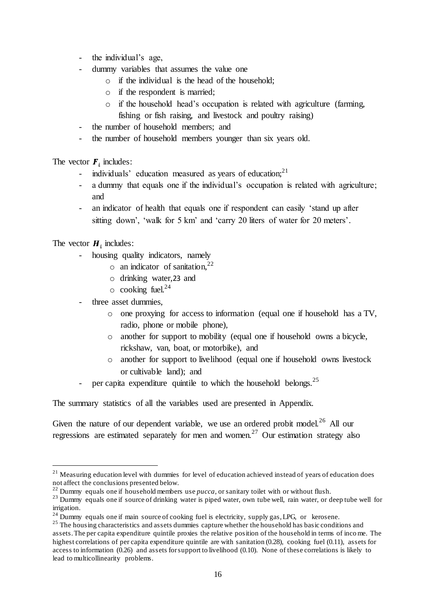- the individual's age,
- dummy variables that assumes the value one
	- o if the individual is the head of the household;
	- o if the respondent is married;
	- o if the household head's occupation is related with agriculture (farming,
	- fishing or fish raising, and livestock and poultry raising)
- the number of household members; and
- the number of household members younger than six years old.

The vector  $\boldsymbol{F}$ , includes:

- individuals' education measured as years of education; $^{21}$
- a dummy that equals one if the individual's occupation is related with agriculture; and
- an indicator of health that equals one if respondent can easily 'stand up after sitting down', 'walk for 5 km' and 'carry 20 liters of water for 20 meters'.

The vector  $H_i$  includes:

 $\overline{a}$ 

- housing quality indicators, namely
	- $\circ$  an indicator of sanitation,<sup>22</sup>
	- o drinking water,23 and
	- $\circ$  cooking fuel.<sup>24</sup>
- three asset dummies.
	- o one proxying for access to information (equal one if household has a TV, radio, phone or mobile phone),
	- o another for support to mobility (equal one if household owns a bicycle, rickshaw, van, boat, or motorbike), and
	- o another for support to livelihood (equal one if household owns livestock or cultivable land); and
- per capita expenditure quintile to which the household belongs.<sup>25</sup>

The summary statistics of all the variables used are presented in Appendix.

Given the nature of our dependent variable, we use an ordered probit model.<sup>26</sup> All our regressions are estimated separately for men and women.<sup>27</sup> Our estimation strategy also

<sup>&</sup>lt;sup>21</sup> Measuring education level with dummies for level of education achieved instead of years of education does not affect the conclusions presented below.

 $^{22}$  Dummy equals one if household members use *pucca*, or sanitary toilet with or without flush.

<sup>&</sup>lt;sup>23</sup> Dummy equals one if source of drinking water is piped water, own tube well, rain water, or deep tube well for irrigation.

 $24$  Dummy equals one if main source of cooking fuel is electricity, supply gas, LPG, or kerosene.

<sup>&</sup>lt;sup>25</sup> The housing characteristics and assets dummies capture whether the household has basic conditions and assets. The per capita expenditure quintile proxies the relative position of the household in terms of income. The highest correlations of per capita expenditure quintile are with sanitation (0.28), cooking fuel (0.11), assets for access to information (0.26) and assets for support to livelihood (0.10). None of these correlations is likely to lead to multicollinearity problems.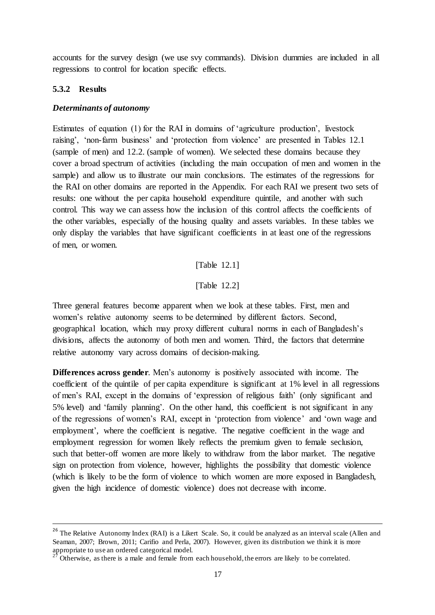accounts for the survey design (we use svy commands). Division dummies are included in all regressions to control for location specific effects.

### **5.3.2 Results**

 $\overline{a}$ 

#### *Determinants of autonomy*

Estimates of equation (1) for the RAI in domains of 'agriculture production', livestock raising', 'non-farm business' and 'protection from violence' are presented in Tables 12.1 (sample of men) and 12.2. (sample of women). We selected these domains because they cover a broad spectrum of activities (including the main occupation of men and women in the sample) and allow us to illustrate our main conclusions. The estimates of the regressions for the RAI on other domains are reported in the Appendix. For each RAI we present two sets of results: one without the per capita household expenditure quintile, and another with such control. This way we can assess how the inclusion of this control affects the coefficients of the other variables, especially of the housing quality and assets variables. In these tables we only display the variables that have significant coefficients in at least one of the regressions of men, or women.

[Table 12.1]

[Table 12.2]

Three general features become apparent when we look at these tables. First, men and women's relative autonomy seems to be determined by different factors. Second, geographical location, which may proxy different cultural norms in each of Bangladesh's divisions, affects the autonomy of both men and women. Third, the factors that determine relative autonomy vary across domains of decision-making.

**Differences across gender**. Men's autonomy is positively associated with income. The coefficient of the quintile of per capita expenditure is significant at 1% level in all regressions of men's RAI, except in the domains of 'expression of religious faith' (only significant and 5% level) and 'family planning'. On the other hand, this coefficient is not significant in any of the regressions of women's RAI, except in 'protection from violence' and 'own wage and employment', where the coefficient is negative. The negative coefficient in the wage and employment regression for women likely reflects the premium given to female seclusion, such that better-off women are more likely to withdraw from the labor market. The negative sign on protection from violence, however, highlights the possibility that domestic violence (which is likely to be the form of violence to which women are more exposed in Bangladesh, given the high incidence of domestic violence) does not decrease with income.

<sup>&</sup>lt;sup>26</sup> The Relative Autonomy Index (RAI) is a Likert Scale. So, it could be analyzed as an interval scale (Allen and Seaman, 2007; Brown, 2011; Carifio and Perla, 2007). However, given its distribution we think it is more appropriate to use an ordered categorical model.

<sup>27</sup> Otherwise, as there is a male and female from each household, the errors are likely to be correlated.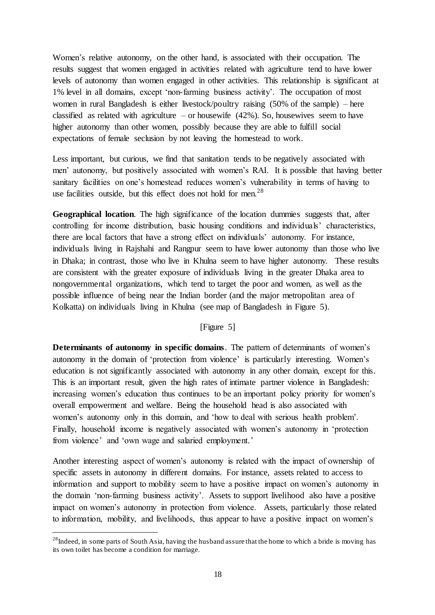Women's relative autonomy, on the other hand, is associated with their occupation. The results suggest that women engaged in activities related with agriculture tend to have lower levels of autonomy than women engaged in other activities. This relationship is significant at 1% level in all domains, except 'non-farming business activity'. The occupation of most women in rural Bangladesh is either livestock/poultry raising (50% of the sample) – here classified as related with agriculture – or housewife  $(42%)$ . So, housewives seem to have higher autonomy than other women, possibly because they are able to fulfill social expectations of female seclusion by not leaving the homestead to work.

Less important, but curious, we find that sanitation tends to be negatively associated with men' autonomy, but positively associated with women's RAI. It is possible that having better sanitary facilities on one's homestead reduces women's vulnerability in terms of having to use facilities outside, but this effect does not hold for men.<sup>28</sup>

**Geographical location**. The high significance of the location dummies suggests that, after controlling for income distribution, basic housing conditions and individuals' characteristics, there are local factors that have a strong effect on individuals' autonomy. For instance, individuals living in Rajshahi and Rangpur seem to have lower autonomy than those who live in Dhaka; in contrast, those who live in Khulna seem to have higher autonomy. These results are consistent with the greater exposure of individuals living in the greater Dhaka area to nongovernmental organizations, which tend to target the poor and women, as well as the possible influence of being near the Indian border (and the major metropolitan area of Kolkatta) on individuals living in Khulna (see map of Bangladesh in Figure 5).

### [Figure 5]

**Determinants of autonomy in specific domains**. The pattern of determinants of women's autonomy in the domain of 'protection from violence' is particularly interesting. Women's education is not significantly associated with autonomy in any other domain, except for this. This is an important result, given the high rates of intimate partner violence in Bangladesh: increasing women's education thus continues to be an important policy priority for women's overall empowerment and welfare. Being the household head is also associated with women's autonomy only in this domain, and 'how to deal with serious health problem'. Finally, household income is negatively associated with women's autonomy in 'protection from violence' and 'own wage and salaried employment.'

Another interesting aspect of women's autonomy is related with the impact of ownership of specific assets in autonomy in different domains. For instance, assets related to access to information and support to mobility seem to have a positive impact on women's autonomy in the domain 'non-farming business activity'. Assets to support livelihood also have a positive impact on women's autonomy in protection from violence. Assets, particularly those related to information, mobility, and livelihoods, thus appear to have a positive impact on women's

 $\overline{a}$ 

<sup>&</sup>lt;sup>28</sup>Indeed, in some parts of South Asia, having the husband assure that the home to which a bride is moving has its own toilet has become a condition for marriage.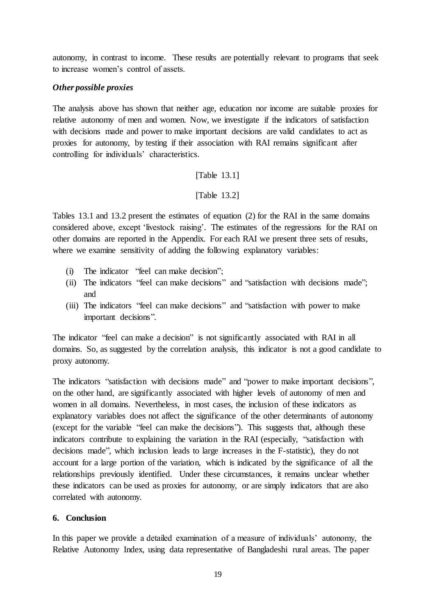autonomy, in contrast to income. These results are potentially relevant to programs that seek to increase women's control of assets.

# *Other possible proxies*

The analysis above has shown that neither age, education nor income are suitable proxies for relative autonomy of men and women. Now, we investigate if the indicators of satisfaction with decisions made and power to make important decisions are valid candidates to act as proxies for autonomy, by testing if their association with RAI remains significant after controlling for individuals' characteristics.

# [Table 13.1]

# [Table 13.2]

Tables 13.1 and 13.2 present the estimates of equation (2) for the RAI in the same domains considered above, except 'livestock raising'. The estimates of the regressions for the RAI on other domains are reported in the Appendix. For each RAI we present three sets of results, where we examine sensitivity of adding the following explanatory variables:

- (i) The indicator "feel can make decision";
- (ii) The indicators "feel can make decisions" and "satisfaction with decisions made"; and
- (iii) The indicators "feel can make decisions" and "satisfaction with power to make important decisions".

The indicator "feel can make a decision" is not significantly associated with RAI in all domains. So, as suggested by the correlation analysis, this indicator is not a good candidate to proxy autonomy.

The indicators "satisfaction with decisions made" and "power to make important decisions", on the other hand, are significantly associated with higher levels of autonomy of men and women in all domains. Nevertheless, in most cases, the inclusion of these indicators as explanatory variables does not affect the significance of the other determinants of autonomy (except for the variable "feel can make the decisions"). This suggests that, although these indicators contribute to explaining the variation in the RAI (especially, "satisfaction with decisions made", which inclusion leads to large increases in the F-statistic), they do not account for a large portion of the variation, which is indicated by the significance of all the relationships previously identified. Under these circumstances, it remains unclear whether these indicators can be used as proxies for autonomy, or are simply indicators that are also correlated with autonomy.

## **6. Conclusion**

In this paper we provide a detailed examination of a measure of individuals' autonomy, the Relative Autonomy Index, using data representative of Bangladeshi rural areas. The paper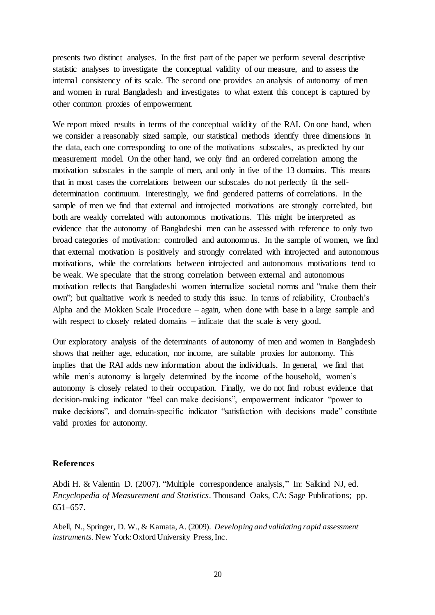presents two distinct analyses. In the first part of the paper we perform several descriptive statistic analyses to investigate the conceptual validity of our measure, and to assess the internal consistency of its scale. The second one provides an analysis of autonomy of men and women in rural Bangladesh and investigates to what extent this concept is captured by other common proxies of empowerment.

We report mixed results in terms of the conceptual validity of the RAI. On one hand, when we consider a reasonably sized sample, our statistical methods identify three dimensions in the data, each one corresponding to one of the motivations subscales, as predicted by our measurement model. On the other hand, we only find an ordered correlation among the motivation subscales in the sample of men, and only in five of the 13 domains. This means that in most cases the correlations between our subscales do not perfectly fit the selfdetermination continuum. Interestingly, we find gendered patterns of correlations. In the sample of men we find that external and introjected motivations are strongly correlated, but both are weakly correlated with autonomous motivations. This might be interpreted as evidence that the autonomy of Bangladeshi men can be assessed with reference to only two broad categories of motivation: controlled and autonomous. In the sample of women, we find that external motivation is positively and strongly correlated with introjected and autonomous motivations, while the correlations between introjected and autonomous motivations tend to be weak. We speculate that the strong correlation between external and autonomous motivation reflects that Bangladeshi women internalize societal norms and "make them their own"; but qualitative work is needed to study this issue. In terms of reliability, Cronbach's Alpha and the Mokken Scale Procedure – again, when done with base in a large sample and with respect to closely related domains – indicate that the scale is very good.

Our exploratory analysis of the determinants of autonomy of men and women in Bangladesh shows that neither age, education, nor income, are suitable proxies for autonomy. This implies that the RAI adds new information about the individuals. In general, we find that while men's autonomy is largely determined by the income of the household, women's autonomy is closely related to their occupation. Finally, we do not find robust evidence that decision-making indicator "feel can make decisions", empowerment indicator "power to make decisions", and domain-specific indicator "satisfaction with decisions made" constitute valid proxies for autonomy.

### **References**

Abdi H. & Valentin D. (2007). "Multiple correspondence analysis," In: Salkind NJ, ed. *Encyclopedia of Measurement and Statistics*. Thousand Oaks, CA: Sage Publications; pp. 651–657.

Abell, N., Springer, D. W., & Kamata, A. (2009). *Developing and validating rapid assessment instruments*. New York: Oxford University Press, Inc.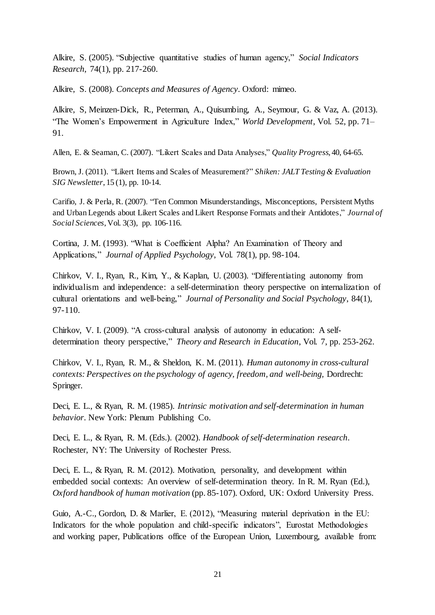Alkire, S. (2005). "Subjective quantitative studies of human agency," *Social Indicators Research*, 74(1), pp. 217-260.

Alkire, S. (2008). *Concepts and Measures of Agency*. Oxford: mimeo.

Alkire, S, Meinzen-Dick, R., Peterman, A., Quisumbing, A., Seymour, G. & Vaz, A. (2013). "The Women's Empowerment in Agriculture Index," *World Development*, Vol. 52, pp. 71– 91.

Allen, E. & Seaman, C. (2007). "Likert Scales and Data Analyses," *Quality Progress*, 40, 64-65.

Brown, J. (2011). "Likert Items and Scales of Measurement?" *Shiken: JALT Testing & Evaluation SIG Newsletter*, 15 (1), pp. 10-14.

Carifio, J. & Perla, R. (2007). "Ten Common Misunderstandings, Misconceptions, Persistent Myths and Urban Legends about Likert Scales and Likert Response Formats and their Antidotes," *Journal of Social Sciences*, Vol. 3(3), pp. 106-116.

Cortina, J. M. (1993). "What is Coefficient Alpha? An Examination of Theory and Applications," *Journal of Applied Psychology*, Vol. 78(1), pp. 98-104.

Chirkov, V. I., Ryan, R., Kim, Y., & Kaplan, U. (2003). "Differentiating autonomy from individualism and independence: a self-determination theory perspective on internalization of cultural orientations and well-being," *Journal of Personality and Social Psychology*, 84(1), 97-110.

Chirkov, V. I. (2009). "A cross-cultural analysis of autonomy in education: A selfdetermination theory perspective," *Theory and Research in Education*, Vol. 7, pp. 253-262.

Chirkov, V. I., Ryan, R. M., & Sheldon, K. M. (2011). *Human autonomy in cross-cultural contexts: Perspectives on the psychology of agency, freedom, and well-being,* Dordrecht: Springer.

Deci, E. L., & Ryan, R. M. (1985). *Intrinsic motivation and self-determination in human behavior*. New York: Plenum Publishing Co.

Deci, E. L., & Ryan, R. M. (Eds.). (2002). *Handbook of self-determination research*. Rochester, NY: The University of Rochester Press.

Deci, E. L., & Ryan, R. M. (2012). Motivation, personality, and development within embedded social contexts: An overview of self-determination theory. In R. M. Ryan (Ed.), *Oxford handbook of human motivation* (pp. 85-107). Oxford, UK: Oxford University Press.

Guio, A.-C., Gordon, D. & Marlier, E. (2012), "Measuring material deprivation in the EU: Indicators for the whole population and child-specific indicators", Eurostat Methodologies and working paper, Publications office of the European Union, Luxembourg, available from: